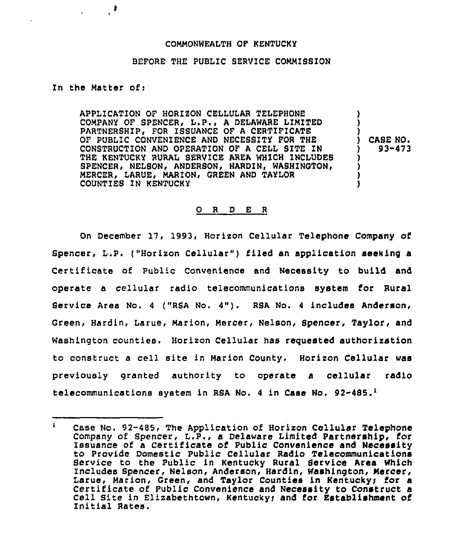## COMMONWEALTH OF KENTUCKY

## BEFORE THE PUBLIC SERVICE COMMI88ION

## In the Matter of <sup>i</sup>

 $\mathcal{F}$ 

APPLICATION OF HORIZON CELLULAR TELEPHONE COMPANY OF SPENCER, L.P., <sup>A</sup> DELAWARE LIMITED PARTNERSHIP, FOR ISSUANCE OF A CERTIFICATE OF PUBLIC CONVENIENCE AND NECESSITY FOR THE CONSTRUCTION AND OPERATION OF <sup>A</sup> CELL SITE IN THE KENTUCKY RURAL SERVICE AREA WHICH INCLUDES SPENCER, NELSON, ANDERSON, HARDIN, WASHINGTON, MERCER, LARUE, MARION, GREEN AND TAYLOR COUNTIES IN KENTUCKY

) CASE NO ) 93-473

) ) )

> ) ) ) )

## 0 <sup>R</sup> <sup>D</sup> E <sup>R</sup>

On December 17, 1993, Horizon Cellular Telephone Company of Spencer, L.P. ("Horizon Cellular" ) filed an application seeking <sup>a</sup> Certificate of Public Convenience and Necessity to build and operate a cellular radio telecommunications system for Rural Bervice Area No. <sup>4</sup> ("RSA No. 4"). RSA No. <sup>4</sup> includes Anderson, Green, Hardin, Larue, Marion, Mercer, Nelson, Spencer, Taylor, and Washington counties. Horizon Cellular has requested authorization to construct <sup>a</sup> cell site in Marion County. Horizon Cellular was previously granted authority to operate a cellular radio telecommunications system in RSA No. 4 in Case No.  $92-485.^1$ 

 $\mathbf{1}$ Case No. 92-485, The Application of Horizon Cellular Telephone Company of Spencer, L.P., a Delaware Limited Partnership, for Issuance of a Certificate of Public Convenience and Necessity to Provide Domestic Public Cellular Radio Telecommunications Service to the Public in Kentucky Rural Service Area Which Includes Spencer, Nelson, Anderson, Hardin, Washington, Mercer, Larue, Marion, Green, and Taylor Counties in Kentuckyy for a Certificate of Public Convenience and Necessity to Construct a Cell Site in Elizabethtown, Kentucky; and for Establishment of Initial Rates.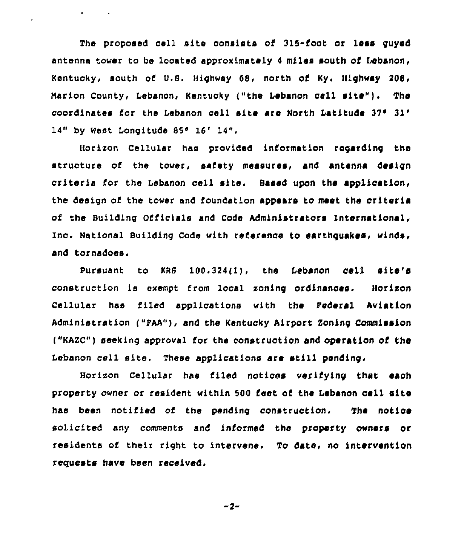The proposed cell site consists of 315-foot or less guyed antenna tower to be located approximately <sup>4</sup> miles south ot lebanon, Kentucky, south of 0.8. Highway 68, north of Ky. Highway 208, Marion County, Lebanon, Kentucky ("the Lebanon cell site"). The coordinates for the Lebanon gell site are North Latitude  $37^{\circ}$   $31^{\circ}$ 14" by West Longitude 85° 16' 14".

 $\mathbf{r} = \mathbf{r} \times \mathbf{r}$  , where

 $\ddot{\phantom{1}}$ 

Horixon Cellular has provided information regarding the structure of the tower, safety measures, and antenna design criteria for the Lebanon cell site. Based upon the application, the design of the tower and foundation appears to meet the criteria of the Building Officials and Code Administrators International, Inc. National Building Code with reterenae to earthquakes, winds, and tornadoes.

Pursuant to  $KRB = 100.324(1)$ , the Lebanon cell site's construction fs exempt from local xonfng ordfnanaas. Horixon Cellular has tiled applications with the Federal Aviation Administration {"pAA"), and the Kentucky Airport Zoning Commission ("KAZC") seeking approval for the construction and operation of the Lebanon cell site. These applications are still pending.

Horizon Cellular has filed notices verifying that each property owner or resident within 500 feet of the Lebanon cell site has been notified of the pending construction. The notice solicited any comments and informed the property owners or residents of their right to intervene. To date, no intervention requests have been received.

$$
-2-
$$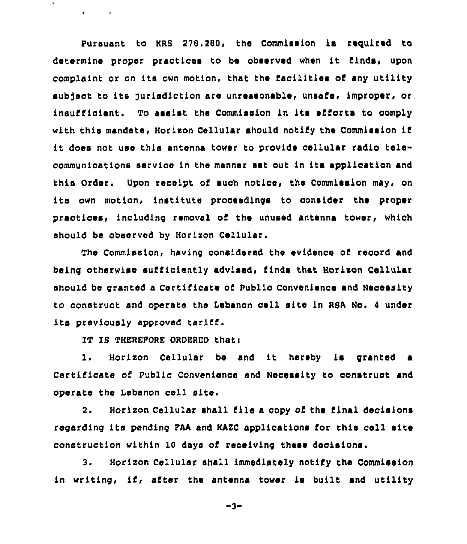Pursuant to KRS 278.280, the Commission is required to determine proper practices to be observed when it finds, upon complaint or on its own motion, that the facilities of any utility subject to its jurisdiction are unreasonable, unsafe, improper, or insufficient. To assist the Commission in its efforts to comply with this mandate, Horizon Cellular should notify the Commission if it does not use this antenna tower to provide cellular radio telecommunications service in the manner set out in its application and this Order, Upon receipt of suoh notice, the Commission may, on its own motion, institute proceedings to consider the proper practices, including removal of the unused antenna tower, whioh should be observed by Horixon Cellular,

The Commission, having considered the evidence of record and being otherwise sufficiently advised, finds that Horizon Cellular should be granted a Certificate of Publio Convenience and Necessity to construct and operate the Lebanon cell site in RSA No. <sup>4</sup> under its previously approved tariff.

IT IS THEREFORE ORDERED that:

 $\mathbf{r} = \mathbf{r} \times \mathbf{r}$  .

1. Horizon Cellular be and it hereby is granted <sup>a</sup> Certificate of Public Convenience and Necessity to construct and operate the Lebanon cell site.

2. Horizon Cellular shall file a copy of the final decisions regarding its pending FAA and KAZC applications for this cell site construction within 10 days of receiving these decisions.

3. Horizon Cellular shall immediately notify the Commission in writing, if, after the antenna tower is built and utility

-3-